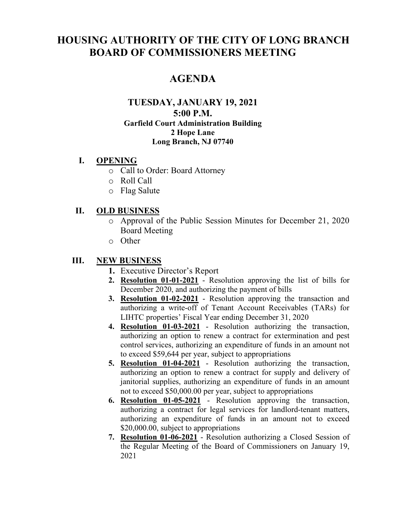# **HOUSING AUTHORITY OF THE CITY OF LONG BRANCH BOARD OF COMMISSIONERS MEETING**

## **AGENDA**

#### **TUESDAY, JANUARY 19, 2021 5:00 P.M. Garfield Court Administration Building 2 Hope Lane Long Branch, NJ 07740**

#### **I. OPENING**

- o Call to Order: Board Attorney
- o Roll Call
- o Flag Salute

#### **II. OLD BUSINESS**

- o Approval of the Public Session Minutes for December 21, 2020 Board Meeting
- o Other

#### **III. NEW BUSINESS**

- **1.** Executive Director's Report
- **2. Resolution 01-01-2021** Resolution approving the list of bills for December 2020, and authorizing the payment of bills
- **3. Resolution 01-02-2021** Resolution approving the transaction and authorizing a write-off of Tenant Account Receivables (TARs) for LIHTC properties' Fiscal Year ending December 31, 2020
- **4. Resolution 01-03-2021** Resolution authorizing the transaction, authorizing an option to renew a contract for extermination and pest control services, authorizing an expenditure of funds in an amount not to exceed \$59,644 per year, subject to appropriations
- **5. Resolution 01-04-2021** Resolution authorizing the transaction, authorizing an option to renew a contract for supply and delivery of janitorial supplies, authorizing an expenditure of funds in an amount not to exceed \$50,000.00 per year, subject to appropriations
- **6. Resolution 01-05-2021** Resolution approving the transaction, authorizing a contract for legal services for landlord-tenant matters, authorizing an expenditure of funds in an amount not to exceed \$20,000.00, subject to appropriations
- **7. Resolution 01-06-2021** Resolution authorizing a Closed Session of the Regular Meeting of the Board of Commissioners on January 19, 2021